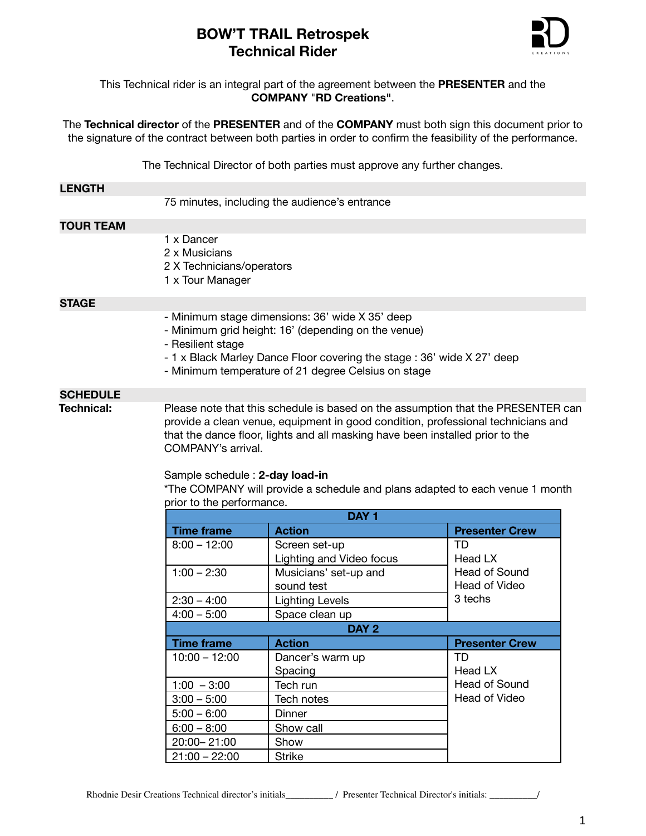

# This Technical rider is an integral part of the agreement between the **PRESENTER** and the **COMPANY** "**RD Creations"**.

The **Technical director** of the **PRESENTER** and of the **COMPANY** must both sign this document prior to the signature of the contract between both parties in order to confirm the feasibility of the performance.

The Technical Director of both parties must approve any further changes.

#### **LENGTH**

75 minutes, including the audience's entrance

### **TOUR TEAM**

- 1 x Dancer
- 2 x Musicians
- 2 X Technicians/operators
- 1 x Tour Manager

# **STAGE**

- Minimum stage dimensions: 36' wide X 35' deep
- Minimum grid height: 16' (depending on the venue)
- Resilient stage
- 1 x Black Marley Dance Floor covering the stage : 36' wide X 27' deep
- Minimum temperature of 21 degree Celsius on stage

#### **SCHEDULE**

**Technical:** Please note that this schedule is based on the assumption that the PRESENTER can provide a clean venue, equipment in good condition, professional technicians and that the dance floor, lights and all masking have been installed prior to the COMPANY's arrival.

#### Sample schedule : **2-day load-in**

\*The COMPANY will provide a schedule and plans adapted to each venue 1 month prior to the performance.

| DAY <sub>1</sub>  |                          |                       |
|-------------------|--------------------------|-----------------------|
| <b>Time frame</b> | <b>Action</b>            | <b>Presenter Crew</b> |
| $8:00 - 12:00$    | Screen set-up            | TD                    |
|                   | Lighting and Video focus | Head LX               |
| $1:00 - 2:30$     | Musicians' set-up and    | <b>Head of Sound</b>  |
|                   | sound test               | Head of Video         |
| $2:30 - 4:00$     | <b>Lighting Levels</b>   | 3 techs               |
| $4:00 - 5:00$     | Space clean up           |                       |
| DAY 2             |                          |                       |
|                   |                          |                       |
| <b>Time frame</b> | <b>Action</b>            | <b>Presenter Crew</b> |
| $10:00 - 12:00$   | Dancer's warm up         | TD                    |
|                   | Spacing                  | Head LX               |
| $1:00 - 3:00$     | Tech run                 | Head of Sound         |
| $3:00 - 5:00$     | Tech notes               | Head of Video         |
| $5:00 - 6:00$     | Dinner                   |                       |
| $6:00 - 8:00$     | Show call                |                       |
| 20:00 - 21:00     | Show                     |                       |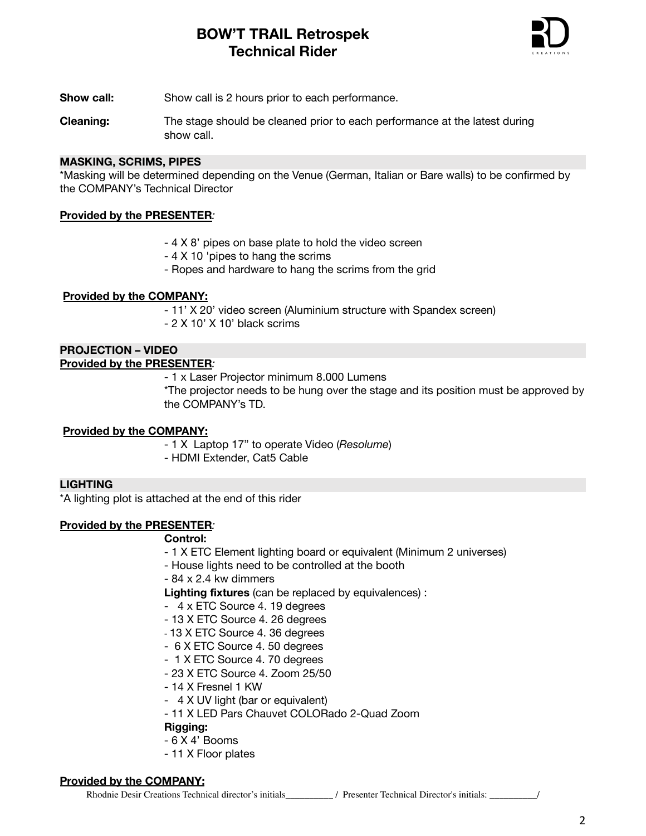

**Show call:** Show call is 2 hours prior to each performance.

**Cleaning:** The stage should be cleaned prior to each performance at the latest during show call.

### **MASKING, SCRIMS, PIPES**

\*Masking will be determined depending on the Venue (German, Italian or Bare walls) to be confirmed by the COMPANY's Technical Director

# **Provided by the PRESENTER***:*

- 4 X 8' pipes on base plate to hold the video screen
- 4 X 10 'pipes to hang the scrims
- Ropes and hardware to hang the scrims from the grid

# **Provided by the COMPANY:**

- 11' X 20' video screen (Aluminium structure with Spandex screen)

- 2 X 10' X 10' black scrims

# **PROJECTION – VIDEO**

# **Provided by the PRESENTER***:*

- 1 x Laser Projector minimum 8.000 Lumens

\*The projector needs to be hung over the stage and its position must be approved by the COMPANY's TD.

# **Provided by the COMPANY:**

- 1 X Laptop 17" to operate Video (*Resolume*) - HDMI Extender, Cat5 Cable

#### **LIGHTING**

\*A lighting plot is attached at the end of this rider

# **Provided by the PRESENTER***:*

#### **Control:**

- 1 X ETC Element lighting board or equivalent (Minimum 2 universes)
- House lights need to be controlled at the booth
- 84 x 2.4 kw dimmers

**Lighting fixtures** (can be replaced by equivalences) :

- 4 x ETC Source 4. 19 degrees
- 13 X ETC Source 4. 26 degrees
- 13 X ETC Source 4. 36 degrees
- 6 X ETC Source 4. 50 degrees
- 1 X ETC Source 4. 70 degrees
- 23 X ETC Source 4. Zoom 25/50
- 14 X Fresnel 1 KW
- 4 X UV light (bar or equivalent)
- 11 X LED Pars Chauvet COLORado 2-Quad Zoom

#### **Rigging:**

- 6 X 4' Booms
- 11 X Floor plates

#### **Provided by the COMPANY:**

Rhodnie Desir Creations Technical director's initials\_\_\_\_\_\_\_\_\_\_ / Presenter Technical Director's initials: \_\_\_\_\_\_\_\_\_\_/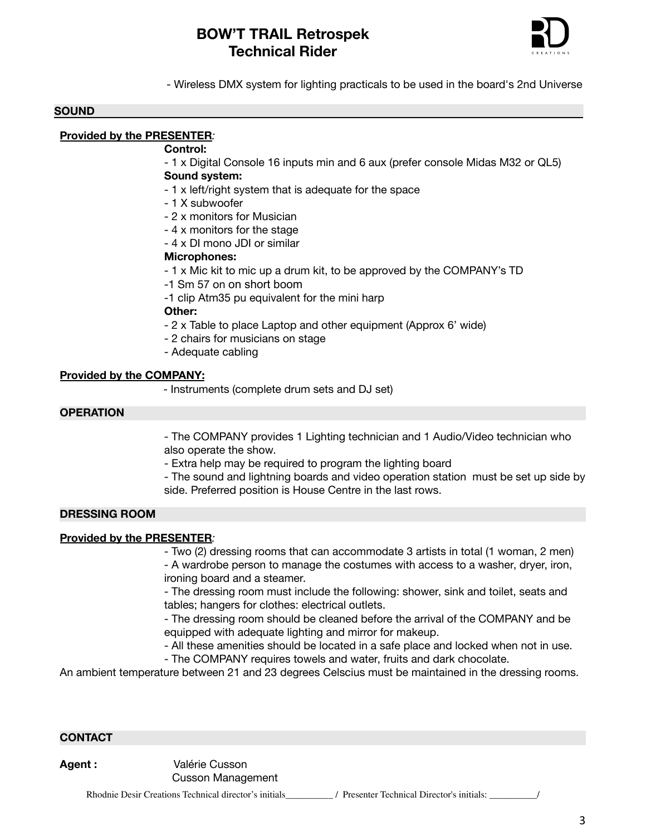

- Wireless DMX system for lighting practicals to be used in the board's 2nd Universe

#### **SOUND**

# **Provided by the PRESENTER***:*

#### **Control:**

- 1 x Digital Console 16 inputs min and 6 aux (prefer console Midas M32 or QL5)

### **Sound system:**

- 1 x left/right system that is adequate for the space
- 1 X subwoofer
- 2 x monitors for Musician
- 4 x monitors for the stage
- 4 x DI mono JDI or similar

# **Microphones:**

- 1 x Mic kit to mic up a drum kit, to be approved by the COMPANY's TD
- -1 Sm 57 on on short boom
- -1 clip Atm35 pu equivalent for the mini harp

#### **Other:**

- 2 x Table to place Laptop and other equipment (Approx 6' wide)
- 2 chairs for musicians on stage
- Adequate cabling

# **Provided by the COMPANY:**

- Instruments (complete drum sets and DJ set)

# **OPERATION**

- The COMPANY provides 1 Lighting technician and 1 Audio/Video technician who also operate the show.

- Extra help may be required to program the lighting board
- The sound and lightning boards and video operation station must be set up side by side. Preferred position is House Centre in the last rows.

# **DRESSING ROOM**

# **Provided by the PRESENTER***:*

- Two (2) dressing rooms that can accommodate 3 artists in total (1 woman, 2 men)

- A wardrobe person to manage the costumes with access to a washer, dryer, iron, ironing board and a steamer.

- The dressing room must include the following: shower, sink and toilet, seats and tables; hangers for clothes: electrical outlets.

- The dressing room should be cleaned before the arrival of the COMPANY and be equipped with adequate lighting and mirror for makeup.

- All these amenities should be located in a safe place and locked when not in use.
- The COMPANY requires towels and water, fruits and dark chocolate.

An ambient temperature between 21 and 23 degrees Celscius must be maintained in the dressing rooms.

# **CONTACT**

**Agent :** Valérie Cusson Cusson Management

Rhodnie Desir Creations Technical director's initials\_\_\_\_\_\_\_\_\_ / Presenter Technical Director's initials: \_\_\_\_\_\_\_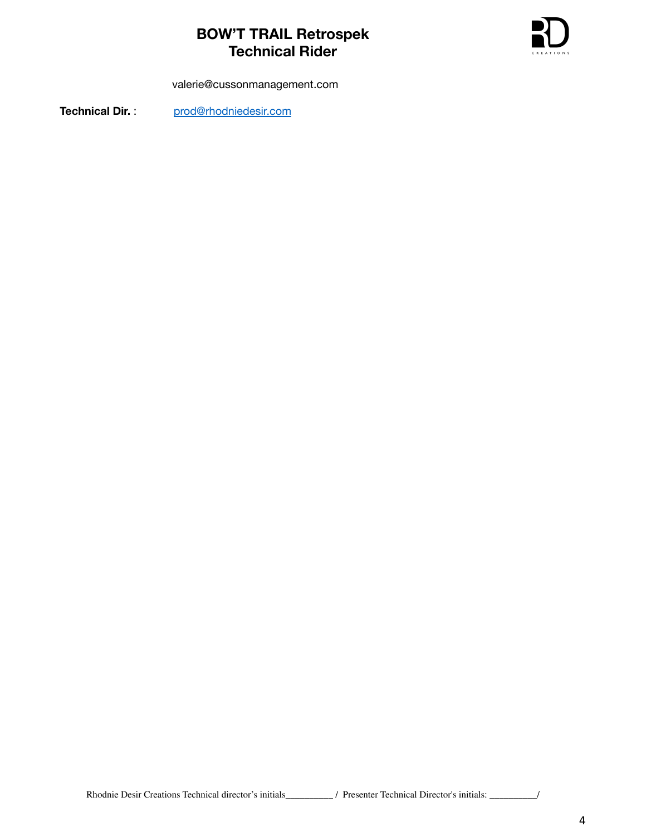

valerie@cussonmanagement.com

Technical Dir. : [prod@rhodniedesir.com](mailto:prod@rhodniedesir.com)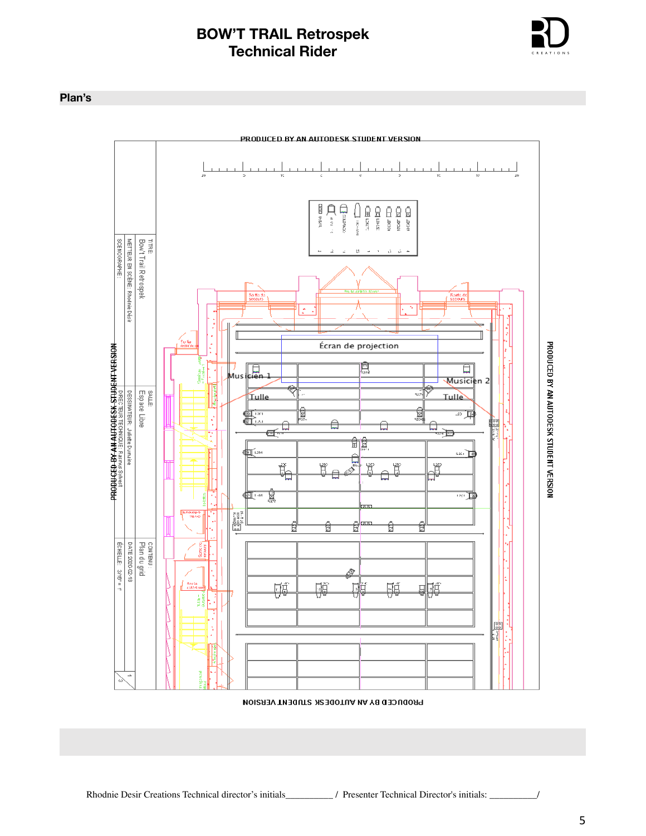

# **Plan's**



PRODUCED BY AN AUTODESK STUDENT VERSION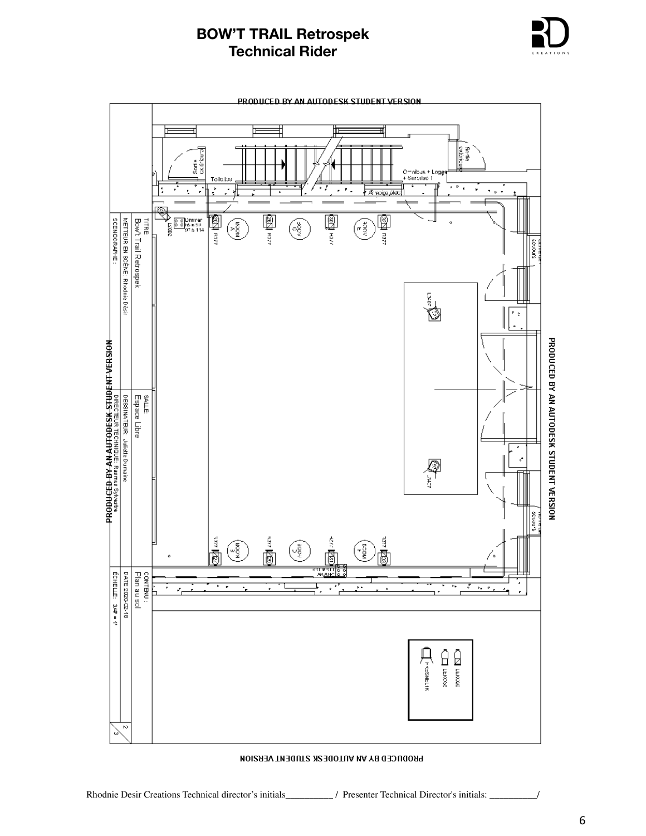



PRODUCED BY AN AUTODE SK STUDENT VERSION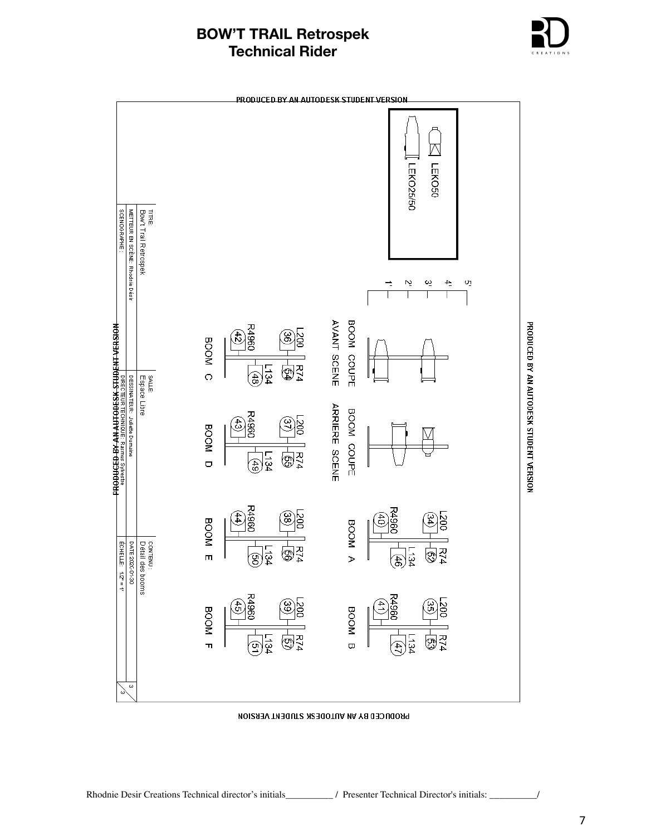

PRODUCED BY AN AUTODESK STUDENT VERSION.  $\overline{\wedge}$ TEKO50 LEKO25/50 TITRE:<br>Bow't Trail Retrospek SCENDGRAPHE METTEUR EN SCÈNE: Rhodnie Désir  $\overline{4}$  $\sim$ ين oj. Т AVANT SCENE BOOM COUPE PRODUCED BY AN AUTODESK STUDENT VERSION PIRECTEUR TECHNIQUE: Rasmus Sylvestre<br>NOIS<del>U IA LIN 3000 LIN VIV AS 000</del>00000 **R4960**  $0027$ ම  $\mathfrak{t}_2$ **BOOM**  $\frac{1}{2}$ **L134**  $\circ$ SALLE.<br>Espace Libre (48 DESSINATEUR: Juliette Dumaine **ARRIERE SCENE** BOOM COUPE **R4960** BOOM D  $\overline{\mathbb{G}}$ F74  $\frac{1}{2}$ R4960 **R4960** js) ၜၟ 44)  $\frac{500}{3}$ ਰੈ BOOM E **BOOM A**  $\sqrt{\frac{2}{2}}$  $f(x) = \sqrt{2}x + 1$ DATE 2020-01-30 contenu :<br>Détail des booms 图2  $\frac{1}{3}$ **L134** මූ E R4960 P4960  $\frac{28}{36}$  $\frac{45}{2}$  $\frac{200}{3}$ BOOM F BOOM B  $\sqrt{\frac{2}{2}}$  $E74$ -134 L134 ඹ ଦ୍ର E  $\omega$ 

PRODUCED BY AN AUTODE SK STUDENT VERSION

7